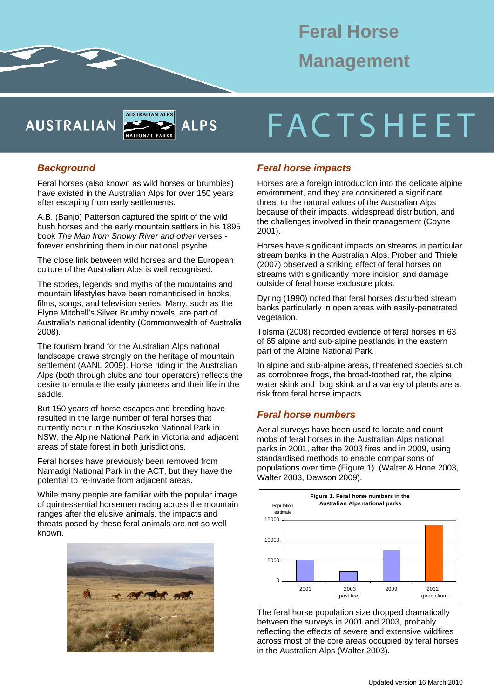# **Feral Horse Management**

**AUSTRALIAN** 



#### *Background*

Feral horses (also known as wild horses or brumbies) have existed in the Australian Alps for over 150 years after escaping from early settlements.

A.B. (Banjo) Patterson captured the spirit of the wild bush horses and the early mountain settlers in his 1895 book *The Man from Snowy River and other verses*  forever enshrining them in our national psyche.

The close link between wild horses and the European culture of the Australian Alps is well recognised.

The stories, legends and myths of the mountains and mountain lifestyles have been romanticised in books, films, songs, and television series. Many, such as the Elyne Mitchell's Silver Brumby novels, are part of Australia's national identity (Commonwealth of Australia 2008).

The tourism brand for the Australian Alps national landscape draws strongly on the heritage of mountain settlement (AANL 2009). Horse riding in the Australian Alps (both through clubs and tour operators) reflects the desire to emulate the early pioneers and their life in the saddle.

But 150 years of horse escapes and breeding have resulted in the large number of feral horses that currently occur in the Kosciuszko National Park in NSW, the Alpine National Park in Victoria and adjacent areas of state forest in both jurisdictions.

Feral horses have previously been removed from Namadgi National Park in the ACT, but they have the potential to re-invade from adjacent areas.

While many people are familiar with the popular image of quintessential horsemen racing across the mountain ranges after the elusive animals, the impacts and threats posed by these feral animals are not so well known.



# **FACTSHEET**

# *Feral horse impacts*

Horses are a foreign introduction into the delicate alpine environment, and they are considered a significant threat to the natural values of the Australian Alps because of their impacts, widespread distribution, and the challenges involved in their management (Coyne 2001).

Horses have significant impacts on streams in particular stream banks in the Australian Alps. Prober and Thiele (2007) observed a striking effect of feral horses on streams with significantly more incision and damage outside of feral horse exclosure plots.

Dyring (1990) noted that feral horses disturbed stream banks particularly in open areas with easily-penetrated vegetation.

Tolsma (2008) recorded evidence of feral horses in 63 of 65 alpine and sub-alpine peatlands in the eastern part of the Alpine National Park.

In alpine and sub-alpine areas, threatened species such as corroboree frogs, the broad-toothed rat, the alpine water skink and bog skink and a variety of plants are at risk from feral horse impacts.

# *Feral horse numbers*

Aerial surveys have been used to locate and count mobs of feral horses in the Australian Alps national parks in 2001, after the 2003 fires and in 2009, using standardised methods to enable comparisons of populations over time (Figure 1). (Walter & Hone 2003, Walter 2003, Dawson 2009).



The feral horse population size dropped dramatically between the surveys in 2001 and 2003, probably reflecting the effects of severe and extensive wildfires across most of the core areas occupied by feral horses in the Australian Alps (Walter 2003).